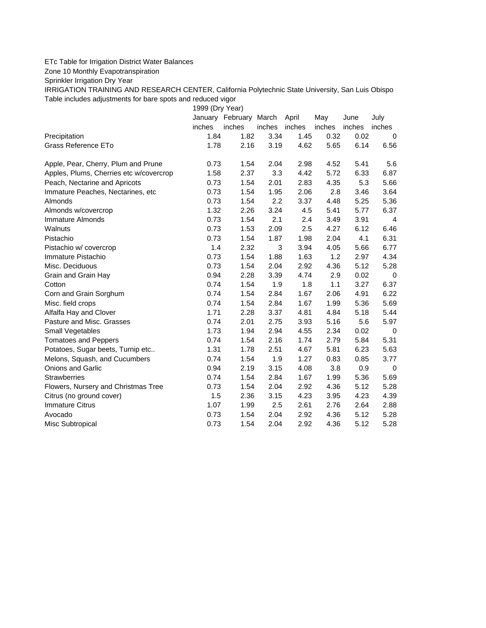## ETc Table for Irrigation District Water Balances

Zone 10 Monthly Evapotranspiration

Sprinkler Irrigation Dry Year

IRRIGATION TRAINING AND RESEARCH CENTER, California Polytechnic State University, San Luis Obispo Table includes adjustments for bare spots and reduced vigor

1999 (Dry Year)

|                                         |        | January February March |        | April  | May    | June   | July        |
|-----------------------------------------|--------|------------------------|--------|--------|--------|--------|-------------|
|                                         | inches | inches                 | inches | inches | inches | inches | inches      |
| Precipitation                           | 1.84   | 1.82                   | 3.34   | 1.45   | 0.32   | 0.02   | $\mathbf 0$ |
| Grass Reference ETo                     | 1.78   | 2.16                   | 3.19   | 4.62   | 5.65   | 6.14   | 6.56        |
| Apple, Pear, Cherry, Plum and Prune     | 0.73   | 1.54                   | 2.04   | 2.98   | 4.52   | 5.41   | 5.6         |
| Apples, Plums, Cherries etc w/covercrop | 1.58   | 2.37                   | 3.3    | 4.42   | 5.72   | 6.33   | 6.87        |
| Peach, Nectarine and Apricots           | 0.73   | 1.54                   | 2.01   | 2.83   | 4.35   | 5.3    | 5.66        |
| Immature Peaches, Nectarines, etc.      | 0.73   | 1.54                   | 1.95   | 2.06   | 2.8    | 3.46   | 3.64        |
| Almonds                                 | 0.73   | 1.54                   | 2.2    | 3.37   | 4.48   | 5.25   | 5.36        |
| Almonds w/covercrop                     | 1.32   | 2.26                   | 3.24   | 4.5    | 5.41   | 5.77   | 6.37        |
| Immature Almonds                        | 0.73   | 1.54                   | 2.1    | 2.4    | 3.49   | 3.91   | 4           |
| Walnuts                                 | 0.73   | 1.53                   | 2.09   | 2.5    | 4.27   | 6.12   | 6.46        |
| Pistachio                               | 0.73   | 1.54                   | 1.87   | 1.98   | 2.04   | 4.1    | 6.31        |
| Pistachio w/ covercrop                  | 1.4    | 2.32                   | 3      | 3.94   | 4.05   | 5.66   | 6.77        |
| Immature Pistachio                      | 0.73   | 1.54                   | 1.88   | 1.63   | 1.2    | 2.97   | 4.34        |
| Misc. Deciduous                         | 0.73   | 1.54                   | 2.04   | 2.92   | 4.36   | 5.12   | 5.28        |
| Grain and Grain Hay                     | 0.94   | 2.28                   | 3.39   | 4.74   | 2.9    | 0.02   | $\mathbf 0$ |
| Cotton                                  | 0.74   | 1.54                   | 1.9    | 1.8    | 1.1    | 3.27   | 6.37        |
| Corn and Grain Sorghum                  | 0.74   | 1.54                   | 2.84   | 1.67   | 2.06   | 4.91   | 6.22        |
| Misc. field crops                       | 0.74   | 1.54                   | 2.84   | 1.67   | 1.99   | 5.36   | 5.69        |
| Alfalfa Hay and Clover                  | 1.71   | 2.28                   | 3.37   | 4.81   | 4.84   | 5.18   | 5.44        |
| Pasture and Misc. Grasses               | 0.74   | 2.01                   | 2.75   | 3.93   | 5.16   | 5.6    | 5.97        |
| Small Vegetables                        | 1.73   | 1.94                   | 2.94   | 4.55   | 2.34   | 0.02   | 0           |
| <b>Tomatoes and Peppers</b>             | 0.74   | 1.54                   | 2.16   | 1.74   | 2.79   | 5.84   | 5.31        |
| Potatoes, Sugar beets, Turnip etc       | 1.31   | 1.78                   | 2.51   | 4.67   | 5.81   | 6.23   | 5.63        |
| Melons, Squash, and Cucumbers           | 0.74   | 1.54                   | 1.9    | 1.27   | 0.83   | 0.85   | 3.77        |
| <b>Onions and Garlic</b>                | 0.94   | 2.19                   | 3.15   | 4.08   | 3.8    | 0.9    | $\mathbf 0$ |
| <b>Strawberries</b>                     | 0.74   | 1.54                   | 2.84   | 1.67   | 1.99   | 5.36   | 5.69        |
| Flowers, Nursery and Christmas Tree     | 0.73   | 1.54                   | 2.04   | 2.92   | 4.36   | 5.12   | 5.28        |
| Citrus (no ground cover)                | 1.5    | 2.36                   | 3.15   | 4.23   | 3.95   | 4.23   | 4.39        |
| <b>Immature Citrus</b>                  | 1.07   | 1.99                   | 2.5    | 2.61   | 2.76   | 2.64   | 2.88        |
| Avocado                                 | 0.73   | 1.54                   | 2.04   | 2.92   | 4.36   | 5.12   | 5.28        |
| Misc Subtropical                        | 0.73   | 1.54                   | 2.04   | 2.92   | 4.36   | 5.12   | 5.28        |